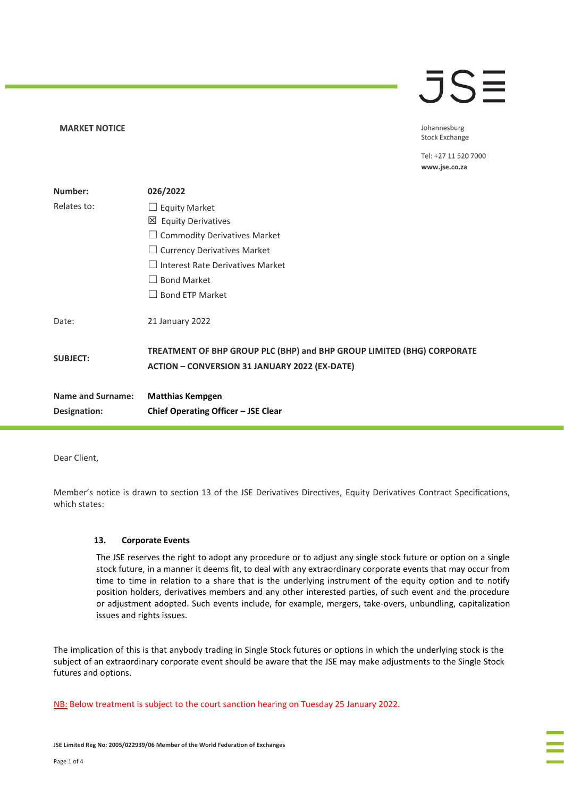#### **MARKET NOTICE**

# $\overline{\mathsf{J}}\mathsf{S}\overline{\Xi}$

Johannesburg **Stock Exchange** 

Tel: +27 11 520 7000 www.jse.co.za

| Number:                  | 026/2022                                                                                                                       |
|--------------------------|--------------------------------------------------------------------------------------------------------------------------------|
| Relates to:              | $\Box$ Equity Market                                                                                                           |
|                          | 凶 Equity Derivatives                                                                                                           |
|                          | <b>Commodity Derivatives Market</b>                                                                                            |
|                          | $\Box$ Currency Derivatives Market                                                                                             |
|                          | Interest Rate Derivatives Market                                                                                               |
|                          | <b>Bond Market</b>                                                                                                             |
|                          | $\Box$ Bond ETP Market                                                                                                         |
| Date:                    | 21 January 2022                                                                                                                |
| <b>SUBJECT:</b>          | TREATMENT OF BHP GROUP PLC (BHP) and BHP GROUP LIMITED (BHG) CORPORATE<br><b>ACTION - CONVERSION 31 JANUARY 2022 (EX-DATE)</b> |
| <b>Name and Surname:</b> | <b>Matthias Kempgen</b>                                                                                                        |
| Designation:             | Chief Operating Officer - JSE Clear                                                                                            |

Dear Client,

Member's notice is drawn to section 13 of the JSE Derivatives Directives, Equity Derivatives Contract Specifications, which states:

#### **13. Corporate Events**

The JSE reserves the right to adopt any procedure or to adjust any single stock future or option on a single stock future, in a manner it deems fit, to deal with any extraordinary corporate events that may occur from time to time in relation to a share that is the underlying instrument of the equity option and to notify position holders, derivatives members and any other interested parties, of such event and the procedure or adjustment adopted. Such events include, for example, mergers, take-overs, unbundling, capitalization issues and rights issues.

The implication of this is that anybody trading in Single Stock futures or options in which the underlying stock is the subject of an extraordinary corporate event should be aware that the JSE may make adjustments to the Single Stock futures and options.

NB: Below treatment is subject to the court sanction hearing on Tuesday 25 January 2022.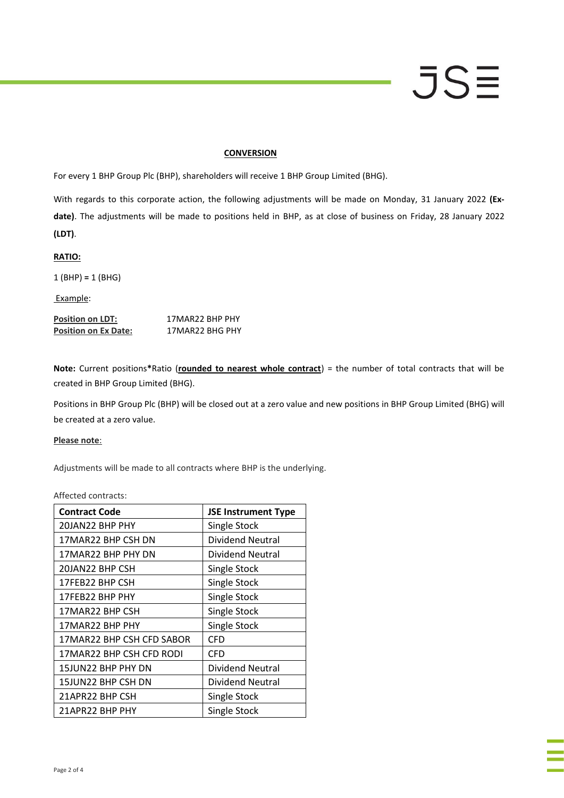#### **CONVERSION**

For every 1 BHP Group Plc (BHP), shareholders will receive 1 BHP Group Limited (BHG).

With regards to this corporate action, the following adjustments will be made on Monday, 31 January 2022 **(Exdate)**. The adjustments will be made to positions held in BHP, as at close of business on Friday, 28 January 2022 **(LDT)**.

**RATIO:**

1 (BHP) **=** 1 (BHG)

Example:

**Position on LDT:** 17MAR22 BHP PHY **Position on Ex Date:** 17MAR22 BHG PHY

**Note:** Current positions**\***Ratio (**rounded to nearest whole contract**) = the number of total contracts that will be created in BHP Group Limited (BHG).

Positions in BHP Group Plc (BHP) will be closed out at a zero value and new positions in BHP Group Limited (BHG) will be created at a zero value.

#### **Please note**:

Adjustments will be made to all contracts where BHP is the underlying.

Affected contracts:

| <b>Contract Code</b>      | <b>JSE Instrument Type</b> |
|---------------------------|----------------------------|
| 20JAN22 BHP PHY           | Single Stock               |
| 17MAR22 BHP CSH DN        | <b>Dividend Neutral</b>    |
| 17MAR22 BHP PHY DN        | Dividend Neutral           |
| 20JAN22 BHP CSH           | Single Stock               |
| 17FEB22 BHP CSH           | Single Stock               |
| 17FEB22 BHP PHY           | Single Stock               |
| 17MAR22 BHP CSH           | Single Stock               |
| 17MAR22 BHP PHY           | Single Stock               |
| 17MAR22 BHP CSH CFD SABOR | <b>CFD</b>                 |
| 17MAR22 BHP CSH CFD RODI  | CFD                        |
| 15JUN22 BHP PHY DN        | Dividend Neutral           |
| 15JUN22 BHP CSH DN        | <b>Dividend Neutral</b>    |
| 21APR22 BHP CSH           | Single Stock               |
| 21APR22 BHP PHY           | Single Stock               |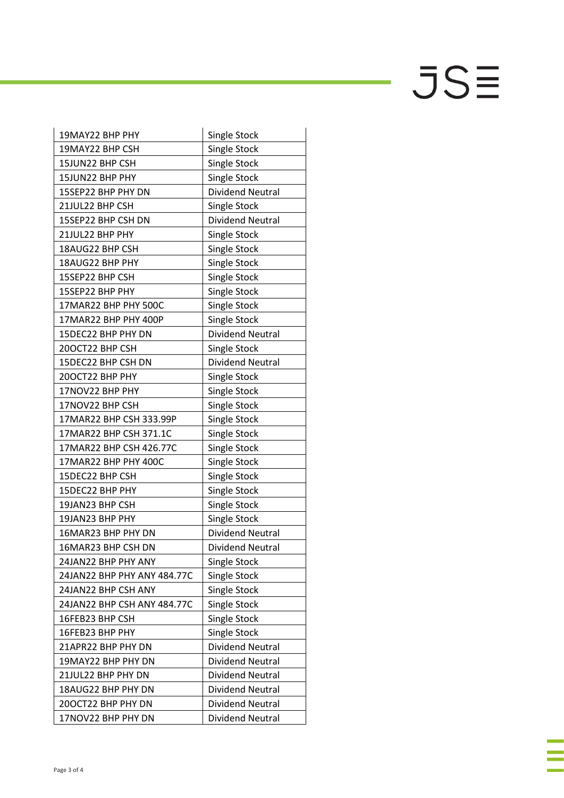$JSE$ 

J,

| 19MAY22 BHP PHY             | Single Stock            |
|-----------------------------|-------------------------|
| 19MAY22 BHP CSH             | Single Stock            |
| 15JUN22 BHP CSH             | Single Stock            |
| 15JUN22 BHP PHY             | Single Stock            |
| 15SEP22 BHP PHY DN          | <b>Dividend Neutral</b> |
| 21JUL22 BHP CSH             | Single Stock            |
| 15SEP22 BHP CSH DN          | <b>Dividend Neutral</b> |
| 21JUL22 BHP PHY             | Single Stock            |
| 18AUG22 BHP CSH             | Single Stock            |
| 18AUG22 BHP PHY             | Single Stock            |
| 15SEP22 BHP CSH             | Single Stock            |
| 15SEP22 BHP PHY             | Single Stock            |
| 17MAR22 BHP PHY 500C        | Single Stock            |
| 17MAR22 BHP PHY 400P        | Single Stock            |
| 15DEC22 BHP PHY DN          | <b>Dividend Neutral</b> |
| 20OCT22 BHP CSH             | Single Stock            |
| 15DEC22 BHP CSH DN          | <b>Dividend Neutral</b> |
| 20OCT22 BHP PHY             | Single Stock            |
| 17NOV22 BHP PHY             | Single Stock            |
| 17NOV22 BHP CSH             | Single Stock            |
| 17MAR22 BHP CSH 333.99P     | Single Stock            |
| 17MAR22 BHP CSH 371.1C      | Single Stock            |
| 17MAR22 BHP CSH 426.77C     | Single Stock            |
| 17MAR22 BHP PHY 400C        | Single Stock            |
| 15DEC22 BHP CSH             | Single Stock            |
| 15DEC22 BHP PHY             | Single Stock            |
| 19JAN23 BHP CSH             | Single Stock            |
| 19JAN23 BHP PHY             | Single Stock            |
| 16MAR23 BHP PHY DN          | <b>Dividend Neutral</b> |
| 16MAR23 BHP CSH DN          | Dividend Neutral        |
| 24JAN22 BHP PHY ANY         | Single Stock            |
| 24JAN22 BHP PHY ANY 484.77C | Single Stock            |
| 24JAN22 BHP CSH ANY         | Single Stock            |
| 24JAN22 BHP CSH ANY 484.77C | Single Stock            |
| 16FEB23 BHP CSH             | Single Stock            |
| 16FEB23 BHP PHY             | Single Stock            |
| 21APR22 BHP PHY DN          | Dividend Neutral        |
| 19MAY22 BHP PHY DN          | <b>Dividend Neutral</b> |
| 21JUL22 BHP PHY DN          | Dividend Neutral        |
| 18AUG22 BHP PHY DN          | <b>Dividend Neutral</b> |
| 20OCT22 BHP PHY DN          | Dividend Neutral        |
| 17NOV22 BHP PHY DN          | <b>Dividend Neutral</b> |